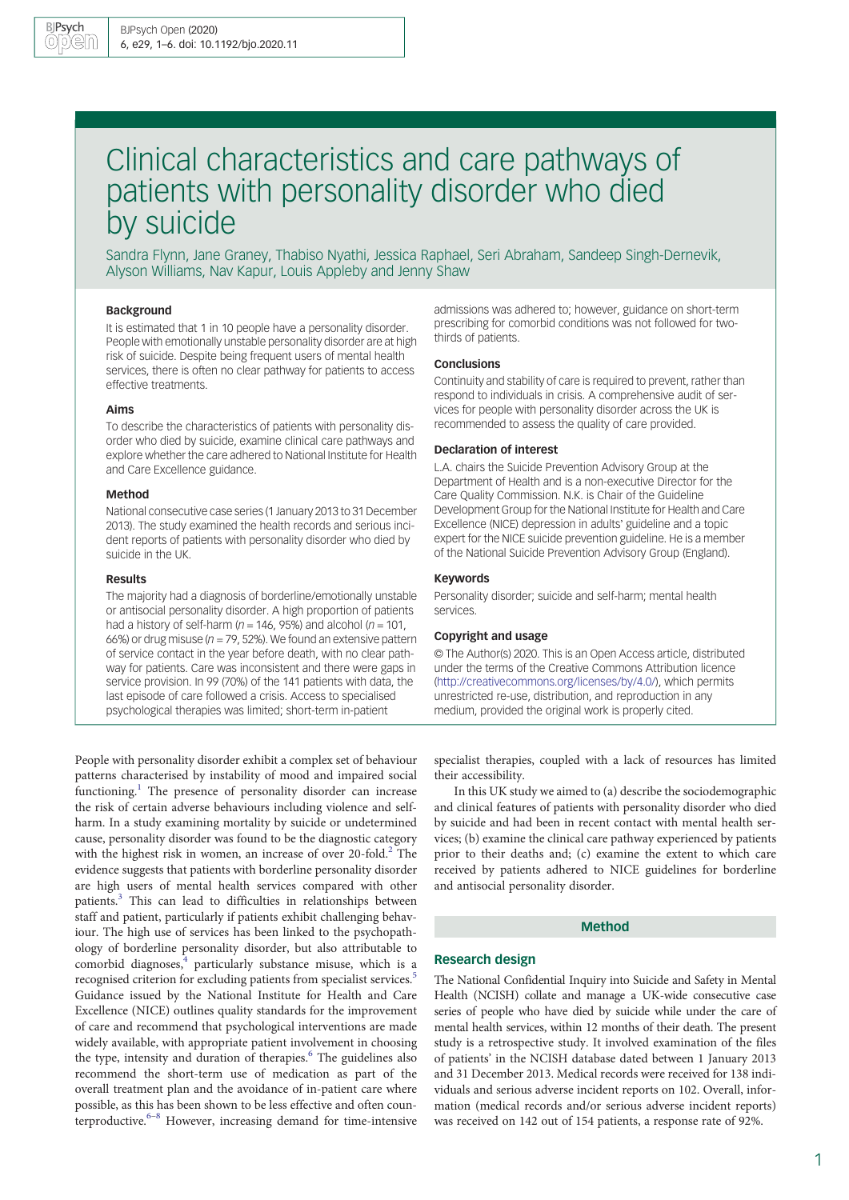# Clinical characteristics and care pathways of patients with personality disorder who died by suicide

Sandra Flynn, Jane Graney, Thabiso Nyathi, Jessica Raphael, Seri Abraham, Sandeep Singh-Dernevik, Alyson Williams, Nav Kapur, Louis Appleby and Jenny Shaw

## Background

It is estimated that 1 in 10 people have a personality disorder. People with emotionally unstable personality disorder are at high risk of suicide. Despite being frequent users of mental health services, there is often no clear pathway for patients to access effective treatments.

#### Aims

To describe the characteristics of patients with personality disorder who died by suicide, examine clinical care pathways and explore whether the care adhered to National Institute for Health and Care Excellence guidance.

#### Method

National consecutive case series (1 January 2013 to 31 December 2013). The study examined the health records and serious incident reports of patients with personality disorder who died by suicide in the UK.

#### Results

The majority had a diagnosis of borderline/emotionally unstable or antisocial personality disorder. A high proportion of patients had a history of self-harm ( $n = 146$ , 95%) and alcohol ( $n = 101$ , 66%) or drug misuse ( $n = 79$ , 52%). We found an extensive pattern of service contact in the year before death, with no clear pathway for patients. Care was inconsistent and there were gaps in service provision. In 99 (70%) of the 141 patients with data, the last episode of care followed a crisis. Access to specialised psychological therapies was limited; short-term in-patient

People with personality disorder exhibit a complex set of behaviour patterns characterised by instability of mood and impaired social functioning.<sup>[1](#page-5-0)</sup> The presence of personality disorder can increase the risk of certain adverse behaviours including violence and selfharm. In a study examining mortality by suicide or undetermined cause, personality disorder was found to be the diagnostic category with the highest risk in women, an increase of over [2](#page-5-0)0-fold.<sup>2</sup> The evidence suggests that patients with borderline personality disorder are high users of mental health services compared with other patients.[3](#page-5-0) This can lead to difficulties in relationships between staff and patient, particularly if patients exhibit challenging behaviour. The high use of services has been linked to the psychopathology of borderline personality disorder, but also attributable to comorbid diagnoses, $4$  particularly substance misuse, which is a recognised criterion for excluding patients from specialist services.<sup>5</sup> Guidance issued by the National Institute for Health and Care Excellence (NICE) outlines quality standards for the improvement of care and recommend that psychological interventions are made widely available, with appropriate patient involvement in choosing the type, intensity and duration of therapies.<sup>[6](#page-5-0)</sup> The guidelines also recommend the short-term use of medication as part of the overall treatment plan and the avoidance of in-patient care where possible, as this has been shown to be less effective and often coun-terproductive.<sup>[6](#page-5-0)–[8](#page-5-0)</sup> However, increasing demand for time-intensive admissions was adhered to; however, guidance on short-term prescribing for comorbid conditions was not followed for twothirds of patients.

## Conclusions

Continuity and stability of care is required to prevent, rather than respond to individuals in crisis. A comprehensive audit of services for people with personality disorder across the UK is recommended to assess the quality of care provided.

#### Declaration of interest

L.A. chairs the Suicide Prevention Advisory Group at the Department of Health and is a non-executive Director for the Care Quality Commission. N.K. is Chair of the Guideline Development Group for the National Institute for Health and Care Excellence (NICE) depression in adults' guideline and a topic expert for the NICE suicide prevention guideline. He is a member of the National Suicide Prevention Advisory Group (England).

#### Keywords

Personality disorder; suicide and self-harm; mental health services.

#### Copyright and usage

© The Author(s) 2020. This is an Open Access article, distributed under the terms of the Creative Commons Attribution licence [\(http://creativecommons.org/licenses/by/4.0/\)](http://creativecommons.org/licenses/by/4.0/), which permits unrestricted re-use, distribution, and reproduction in any medium, provided the original work is properly cited.

specialist therapies, coupled with a lack of resources has limited their accessibility.

In this UK study we aimed to (a) describe the sociodemographic and clinical features of patients with personality disorder who died by suicide and had been in recent contact with mental health services; (b) examine the clinical care pathway experienced by patients prior to their deaths and; (c) examine the extent to which care received by patients adhered to NICE guidelines for borderline and antisocial personality disorder.

# Method

## Research design

The National Confidential Inquiry into Suicide and Safety in Mental Health (NCISH) collate and manage a UK-wide consecutive case series of people who have died by suicide while under the care of mental health services, within 12 months of their death. The present study is a retrospective study. It involved examination of the files of patients' in the NCISH database dated between 1 January 2013 and 31 December 2013. Medical records were received for 138 individuals and serious adverse incident reports on 102. Overall, information (medical records and/or serious adverse incident reports) was received on 142 out of 154 patients, a response rate of 92%.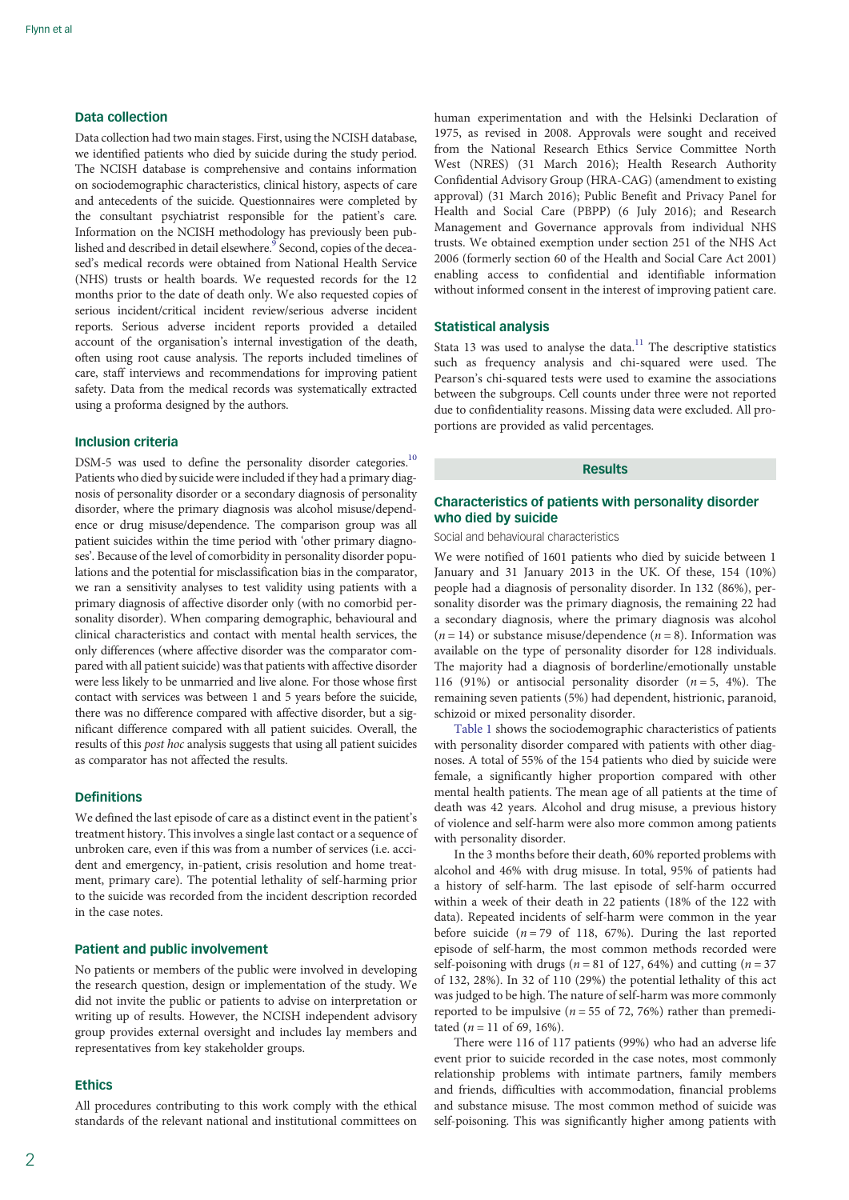# Data collection

Data collection had two main stages. First, using the NCISH database, we identified patients who died by suicide during the study period. The NCISH database is comprehensive and contains information on sociodemographic characteristics, clinical history, aspects of care and antecedents of the suicide. Questionnaires were completed by the consultant psychiatrist responsible for the patient's care. Information on the NCISH methodology has previously been pub-lished and described in detail elsewhere.<sup>[9](#page-5-0)</sup> Second, copies of the deceased's medical records were obtained from National Health Service (NHS) trusts or health boards. We requested records for the 12 months prior to the date of death only. We also requested copies of serious incident/critical incident review/serious adverse incident reports. Serious adverse incident reports provided a detailed account of the organisation's internal investigation of the death, often using root cause analysis. The reports included timelines of care, staff interviews and recommendations for improving patient safety. Data from the medical records was systematically extracted using a proforma designed by the authors.

# Inclusion criteria

DSM-5 was used to define the personality disorder categories.<sup>10</sup> Patients who died by suicide were included if they had a primary diagnosis of personality disorder or a secondary diagnosis of personality disorder, where the primary diagnosis was alcohol misuse/dependence or drug misuse/dependence. The comparison group was all patient suicides within the time period with 'other primary diagnoses'. Because of the level of comorbidity in personality disorder populations and the potential for misclassification bias in the comparator, we ran a sensitivity analyses to test validity using patients with a primary diagnosis of affective disorder only (with no comorbid personality disorder). When comparing demographic, behavioural and clinical characteristics and contact with mental health services, the only differences (where affective disorder was the comparator compared with all patient suicide) was that patients with affective disorder were less likely to be unmarried and live alone. For those whose first contact with services was between 1 and 5 years before the suicide, there was no difference compared with affective disorder, but a significant difference compared with all patient suicides. Overall, the results of this post hoc analysis suggests that using all patient suicides as comparator has not affected the results.

## Definitions

We defined the last episode of care as a distinct event in the patient's treatment history. This involves a single last contact or a sequence of unbroken care, even if this was from a number of services (i.e. accident and emergency, in-patient, crisis resolution and home treatment, primary care). The potential lethality of self-harming prior to the suicide was recorded from the incident description recorded in the case notes.

## Patient and public involvement

No patients or members of the public were involved in developing the research question, design or implementation of the study. We did not invite the public or patients to advise on interpretation or writing up of results. However, the NCISH independent advisory group provides external oversight and includes lay members and representatives from key stakeholder groups.

## **Ethics**

All procedures contributing to this work comply with the ethical standards of the relevant national and institutional committees on human experimentation and with the Helsinki Declaration of 1975, as revised in 2008. Approvals were sought and received from the National Research Ethics Service Committee North West (NRES) (31 March 2016); Health Research Authority Confidential Advisory Group (HRA-CAG) (amendment to existing approval) (31 March 2016); Public Benefit and Privacy Panel for Health and Social Care (PBPP) (6 July 2016); and Research Management and Governance approvals from individual NHS trusts. We obtained exemption under section 251 of the NHS Act 2006 (formerly section 60 of the Health and Social Care Act 2001) enabling access to confidential and identifiable information without informed consent in the interest of improving patient care.

#### Statistical analysis

Stata 13 was used to analyse the data. $11$  The descriptive statistics such as frequency analysis and chi-squared were used. The Pearson's chi-squared tests were used to examine the associations between the subgroups. Cell counts under three were not reported due to confidentiality reasons. Missing data were excluded. All proportions are provided as valid percentages.

# Results

# Characteristics of patients with personality disorder who died by suicide

Social and behavioural characteristics

We were notified of 1601 patients who died by suicide between 1 January and 31 January 2013 in the UK. Of these, 154 (10%) people had a diagnosis of personality disorder. In 132 (86%), personality disorder was the primary diagnosis, the remaining 22 had a secondary diagnosis, where the primary diagnosis was alcohol  $(n = 14)$  or substance misuse/dependence  $(n = 8)$ . Information was available on the type of personality disorder for 128 individuals. The majority had a diagnosis of borderline/emotionally unstable 116 (91%) or antisocial personality disorder  $(n = 5, 4\%)$ . The remaining seven patients (5%) had dependent, histrionic, paranoid, schizoid or mixed personality disorder.

[Table 1](#page-2-0) shows the sociodemographic characteristics of patients with personality disorder compared with patients with other diagnoses. A total of 55% of the 154 patients who died by suicide were female, a significantly higher proportion compared with other mental health patients. The mean age of all patients at the time of death was 42 years. Alcohol and drug misuse, a previous history of violence and self-harm were also more common among patients with personality disorder.

In the 3 months before their death, 60% reported problems with alcohol and 46% with drug misuse. In total, 95% of patients had a history of self-harm. The last episode of self-harm occurred within a week of their death in 22 patients (18% of the 122 with data). Repeated incidents of self-harm were common in the year before suicide ( $n = 79$  of 118, 67%). During the last reported episode of self-harm, the most common methods recorded were self-poisoning with drugs ( $n = 81$  of 127, 64%) and cutting ( $n = 37$ of 132, 28%). In 32 of 110 (29%) the potential lethality of this act was judged to be high. The nature of self-harm was more commonly reported to be impulsive ( $n = 55$  of 72, 76%) rather than premeditated ( $n = 11$  of 69, 16%).

There were 116 of 117 patients (99%) who had an adverse life event prior to suicide recorded in the case notes, most commonly relationship problems with intimate partners, family members and friends, difficulties with accommodation, financial problems and substance misuse. The most common method of suicide was self-poisoning. This was significantly higher among patients with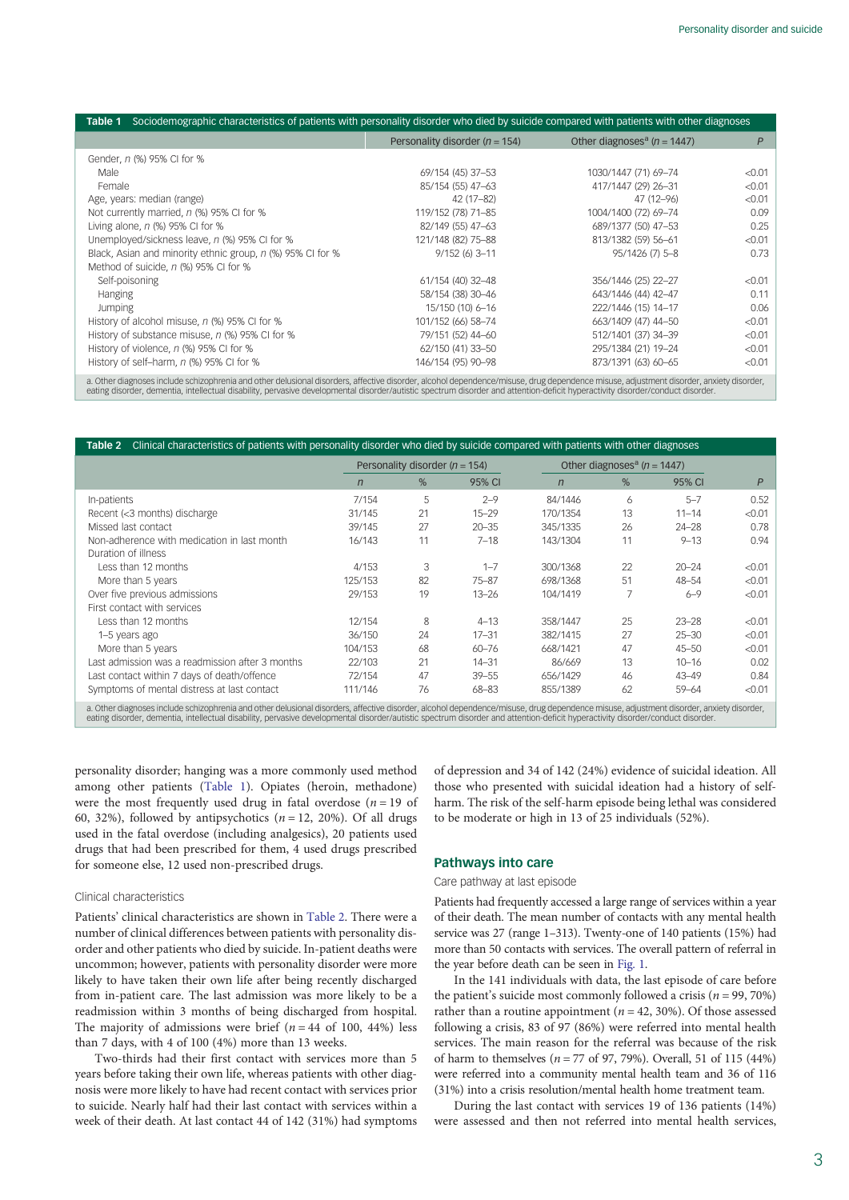<span id="page-2-0"></span>

| Sociodemographic characteristics of patients with personality disorder who died by suicide compared with patients with other diagnoses<br>Table 1 |                                    |                                             |        |  |  |  |  |  |  |  |
|---------------------------------------------------------------------------------------------------------------------------------------------------|------------------------------------|---------------------------------------------|--------|--|--|--|--|--|--|--|
|                                                                                                                                                   | Personality disorder ( $n = 154$ ) | Other diagnoses <sup>a</sup> ( $n = 1447$ ) | P      |  |  |  |  |  |  |  |
| Gender, n (%) 95% CI for %                                                                                                                        |                                    |                                             |        |  |  |  |  |  |  |  |
| Male                                                                                                                                              | 69/154 (45) 37-53                  | 1030/1447 (71) 69-74                        | < 0.01 |  |  |  |  |  |  |  |
| Female                                                                                                                                            | 85/154 (55) 47-63                  | 417/1447 (29) 26-31                         | < 0.01 |  |  |  |  |  |  |  |
| Age, years: median (range)                                                                                                                        | 42 (17-82)                         | 47 (12-96)                                  | < 0.01 |  |  |  |  |  |  |  |
| Not currently married, n (%) 95% CI for %                                                                                                         | 119/152 (78) 71-85                 | 1004/1400 (72) 69-74                        | 0.09   |  |  |  |  |  |  |  |
| Living alone, $n$ (%) 95% CI for %                                                                                                                | 82/149 (55) 47-63                  | 689/1377 (50) 47-53                         | 0.25   |  |  |  |  |  |  |  |
| Unemployed/sickness leave, n (%) 95% CI for %                                                                                                     | 121/148 (82) 75-88                 | 813/1382 (59) 56-61                         | < 0.01 |  |  |  |  |  |  |  |
| Black, Asian and minority ethnic group, n (%) 95% CI for %                                                                                        | $9/152(6)$ 3-11                    | 95/1426 (7) 5-8                             | 0.73   |  |  |  |  |  |  |  |
| Method of suicide, n (%) 95% CI for %                                                                                                             |                                    |                                             |        |  |  |  |  |  |  |  |
| Self-poisoning                                                                                                                                    | 61/154 (40) 32-48                  | 356/1446 (25) 22-27                         | < 0.01 |  |  |  |  |  |  |  |
| Hanging                                                                                                                                           | 58/154 (38) 30-46                  | 643/1446 (44) 42-47                         | 0.11   |  |  |  |  |  |  |  |
| <b>Jumping</b>                                                                                                                                    | 15/150 (10) 6-16                   | 222/1446 (15) 14-17                         | 0.06   |  |  |  |  |  |  |  |
| History of alcohol misuse, n (%) 95% CI for %                                                                                                     | 101/152 (66) 58-74                 | 663/1409 (47) 44-50                         | < 0.01 |  |  |  |  |  |  |  |
| History of substance misuse, n (%) 95% CI for %                                                                                                   | 79/151 (52) 44-60                  | 512/1401 (37) 34-39                         | < 0.01 |  |  |  |  |  |  |  |
| History of violence, n (%) 95% CI for %                                                                                                           | 62/150 (41) 33-50                  | 295/1384 (21) 19-24                         | < 0.01 |  |  |  |  |  |  |  |
| History of self-harm, n (%) 95% CI for %                                                                                                          | 146/154 (95) 90-98                 | 873/1391 (63) 60-65                         | < 0.01 |  |  |  |  |  |  |  |
|                                                                                                                                                   |                                    |                                             |        |  |  |  |  |  |  |  |

a. Other diagnoses include schizophrenia and other delusional disorders, affective disorder, alcohol dependence/misuse, drug dependence misuse, adjustment disorder, anxiety disorder,<br>eating disorder, dementia, intellectual

| Clinical characteristics of patients with personality disorder who died by suicide compared with patients with other diagnoses<br>Table 2                                                                                                                                                                                                                                |              |                                    |           |                |                                             |           |                |  |
|--------------------------------------------------------------------------------------------------------------------------------------------------------------------------------------------------------------------------------------------------------------------------------------------------------------------------------------------------------------------------|--------------|------------------------------------|-----------|----------------|---------------------------------------------|-----------|----------------|--|
|                                                                                                                                                                                                                                                                                                                                                                          |              | Personality disorder ( $n = 154$ ) |           |                | Other diagnoses <sup>a</sup> ( $n = 1447$ ) |           |                |  |
|                                                                                                                                                                                                                                                                                                                                                                          | $\mathsf{n}$ | $\%$                               | 95% CI    | $\overline{n}$ | $\%$                                        | 95% CI    | $\overline{P}$ |  |
| In-patients                                                                                                                                                                                                                                                                                                                                                              | 7/154        | 5                                  | $2 - 9$   | 84/1446        | 6                                           | $5 - 7$   | 0.52           |  |
| Recent (<3 months) discharge                                                                                                                                                                                                                                                                                                                                             | 31/145       | 21                                 | $15 - 29$ | 170/1354       | 13                                          | $11 - 14$ | < 0.01         |  |
| Missed last contact                                                                                                                                                                                                                                                                                                                                                      | 39/145       | 27                                 | $20 - 35$ | 345/1335       | 26                                          | $24 - 28$ | 0.78           |  |
| Non-adherence with medication in last month                                                                                                                                                                                                                                                                                                                              | 16/143       | 11                                 | $7 - 18$  | 143/1304       | 11                                          | $9 - 13$  | 0.94           |  |
| Duration of illness                                                                                                                                                                                                                                                                                                                                                      |              |                                    |           |                |                                             |           |                |  |
| Less than 12 months                                                                                                                                                                                                                                                                                                                                                      | 4/153        | 3                                  | $1 - 7$   | 300/1368       | 22                                          | $20 - 24$ | < 0.01         |  |
| More than 5 years                                                                                                                                                                                                                                                                                                                                                        | 125/153      | 82                                 | $75 - 87$ | 698/1368       | 51                                          | $48 - 54$ | < 0.01         |  |
| Over five previous admissions                                                                                                                                                                                                                                                                                                                                            | 29/153       | 19                                 | $13 - 26$ | 104/1419       |                                             | $6 - 9$   | < 0.01         |  |
| First contact with services                                                                                                                                                                                                                                                                                                                                              |              |                                    |           |                |                                             |           |                |  |
| Less than 12 months                                                                                                                                                                                                                                                                                                                                                      | 12/154       | 8                                  | $4 - 13$  | 358/1447       | 25                                          | $23 - 28$ | < 0.01         |  |
| 1-5 years ago                                                                                                                                                                                                                                                                                                                                                            | 36/150       | 24                                 | $17 - 31$ | 382/1415       | 27                                          | $25 - 30$ | < 0.01         |  |
| More than 5 years                                                                                                                                                                                                                                                                                                                                                        | 104/153      | 68                                 | $60 - 76$ | 668/1421       | 47                                          | $45 - 50$ | < 0.01         |  |
| Last admission was a readmission after 3 months                                                                                                                                                                                                                                                                                                                          | 22/103       | 21                                 | $14 - 31$ | 86/669         | 13                                          | $10 - 16$ | 0.02           |  |
| Last contact within 7 days of death/offence                                                                                                                                                                                                                                                                                                                              | 72/154       | 47                                 | $39 - 55$ | 656/1429       | 46                                          | $43 - 49$ | 0.84           |  |
| Symptoms of mental distress at last contact                                                                                                                                                                                                                                                                                                                              | 111/146      | 76                                 | $68 - 83$ | 855/1389       | 62                                          | $59 - 64$ | < 0.01         |  |
| a. Other diagnoses include schizophrenia and other delusional disorders, affective disorder, alcohol dependence/misuse, drug dependence misuse, adjustment disorder, anxiety disorder,<br>eating disorder, dementia, intellectual disability, pervasive developmental disorder/autistic spectrum disorder and attention-deficit hyperactivity disorder/conduct disorder. |              |                                    |           |                |                                             |           |                |  |

personality disorder; hanging was a more commonly used method among other patients (Table 1). Opiates (heroin, methadone) were the most frequently used drug in fatal overdose  $(n = 19)$  of 60, 32%), followed by antipsychotics  $(n = 12, 20\%)$ . Of all drugs used in the fatal overdose (including analgesics), 20 patients used drugs that had been prescribed for them, 4 used drugs prescribed for someone else, 12 used non-prescribed drugs.

## Clinical characteristics

Patients' clinical characteristics are shown in Table 2. There were a number of clinical differences between patients with personality disorder and other patients who died by suicide. In-patient deaths were uncommon; however, patients with personality disorder were more likely to have taken their own life after being recently discharged from in-patient care. The last admission was more likely to be a readmission within 3 months of being discharged from hospital. The majority of admissions were brief ( $n = 44$  of 100, 44%) less than 7 days, with 4 of 100 (4%) more than 13 weeks.

Two-thirds had their first contact with services more than 5 years before taking their own life, whereas patients with other diagnosis were more likely to have had recent contact with services prior to suicide. Nearly half had their last contact with services within a week of their death. At last contact 44 of 142 (31%) had symptoms of depression and 34 of 142 (24%) evidence of suicidal ideation. All those who presented with suicidal ideation had a history of selfharm. The risk of the self-harm episode being lethal was considered to be moderate or high in 13 of 25 individuals (52%).

## Pathways into care

## Care pathway at last episode

Patients had frequently accessed a large range of services within a year of their death. The mean number of contacts with any mental health service was 27 (range 1–313). Twenty-one of 140 patients (15%) had more than 50 contacts with services. The overall pattern of referral in the year before death can be seen in [Fig. 1](#page-3-0).

In the 141 individuals with data, the last episode of care before the patient's suicide most commonly followed a crisis ( $n = 99, 70\%$ ) rather than a routine appointment ( $n = 42, 30\%$ ). Of those assessed following a crisis, 83 of 97 (86%) were referred into mental health services. The main reason for the referral was because of the risk of harm to themselves ( $n = 77$  of 97, 79%). Overall, 51 of 115 (44%) were referred into a community mental health team and 36 of 116 (31%) into a crisis resolution/mental health home treatment team.

During the last contact with services 19 of 136 patients (14%) were assessed and then not referred into mental health services,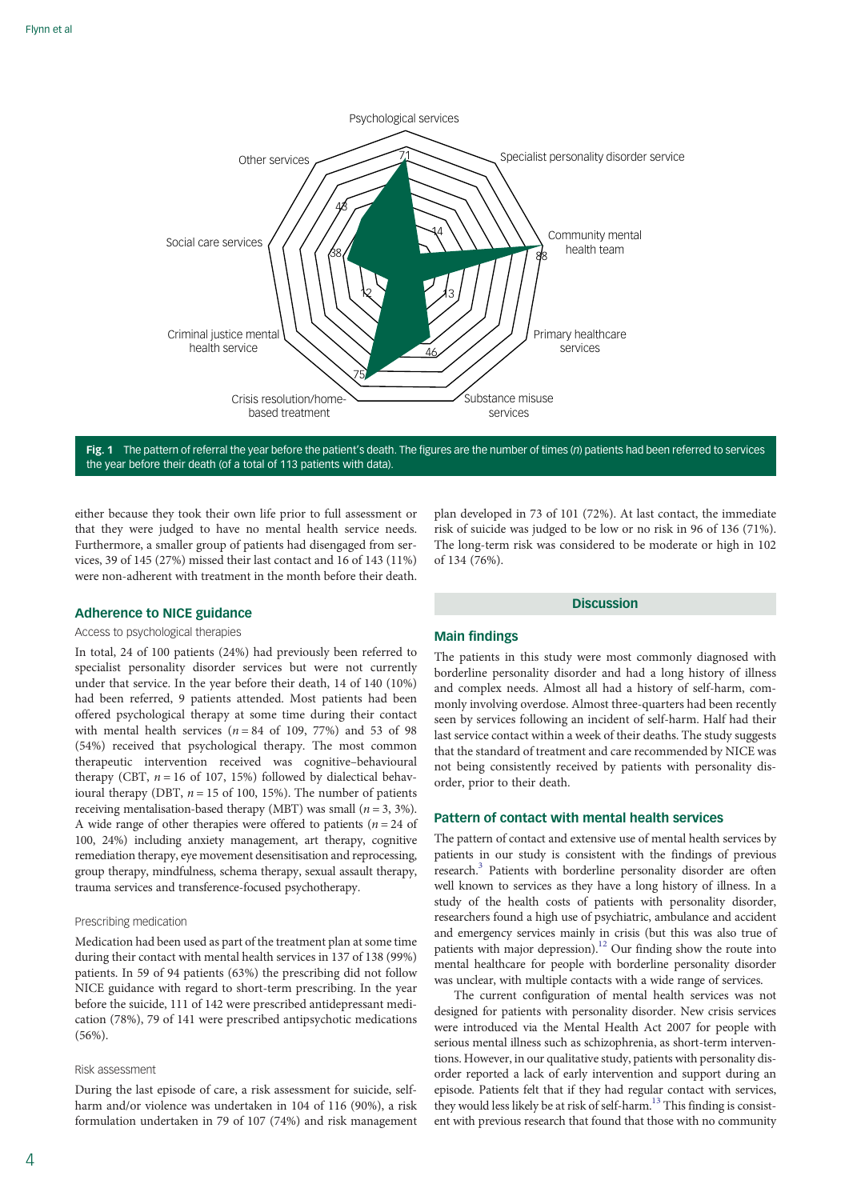<span id="page-3-0"></span>

Fig. 1 The pattern of referral the year before the patient's death. The figures are the number of times (n) patients had been referred to services the year before their death (of a total of 113 patients with data).

either because they took their own life prior to full assessment or that they were judged to have no mental health service needs. Furthermore, a smaller group of patients had disengaged from services, 39 of 145 (27%) missed their last contact and 16 of 143 (11%) were non-adherent with treatment in the month before their death.

# Adherence to NICE guidance

# Access to psychological therapies

In total, 24 of 100 patients (24%) had previously been referred to specialist personality disorder services but were not currently under that service. In the year before their death, 14 of 140 (10%) had been referred, 9 patients attended. Most patients had been offered psychological therapy at some time during their contact with mental health services ( $n = 84$  of 109, 77%) and 53 of 98 (54%) received that psychological therapy. The most common therapeutic intervention received was cognitive–behavioural therapy (CBT,  $n = 16$  of 107, 15%) followed by dialectical behavioural therapy (DBT,  $n = 15$  of 100, 15%). The number of patients receiving mentalisation-based therapy (MBT) was small ( $n = 3, 3\%$ ). A wide range of other therapies were offered to patients ( $n = 24$  of 100, 24%) including anxiety management, art therapy, cognitive remediation therapy, eye movement desensitisation and reprocessing, group therapy, mindfulness, schema therapy, sexual assault therapy, trauma services and transference-focused psychotherapy.

## Prescribing medication

Medication had been used as part of the treatment plan at some time during their contact with mental health services in 137 of 138 (99%) patients. In 59 of 94 patients (63%) the prescribing did not follow NICE guidance with regard to short-term prescribing. In the year before the suicide, 111 of 142 were prescribed antidepressant medication (78%), 79 of 141 were prescribed antipsychotic medications (56%).

## Risk assessment

During the last episode of care, a risk assessment for suicide, selfharm and/or violence was undertaken in 104 of 116 (90%), a risk formulation undertaken in 79 of 107 (74%) and risk management plan developed in 73 of 101 (72%). At last contact, the immediate risk of suicide was judged to be low or no risk in 96 of 136 (71%). The long-term risk was considered to be moderate or high in 102 of 134 (76%).

#### **Discussion**

### Main findings

The patients in this study were most commonly diagnosed with borderline personality disorder and had a long history of illness and complex needs. Almost all had a history of self-harm, commonly involving overdose. Almost three-quarters had been recently seen by services following an incident of self-harm. Half had their last service contact within a week of their deaths. The study suggests that the standard of treatment and care recommended by NICE was not being consistently received by patients with personality disorder, prior to their death.

# Pattern of contact with mental health services

The pattern of contact and extensive use of mental health services by patients in our study is consistent with the findings of previous research[.3](#page-5-0) Patients with borderline personality disorder are often well known to services as they have a long history of illness. In a study of the health costs of patients with personality disorder, researchers found a high use of psychiatric, ambulance and accident and emergency services mainly in crisis (but this was also true of patients with major depression).<sup>12</sup> Our finding show the route into mental healthcare for people with borderline personality disorder was unclear, with multiple contacts with a wide range of services.

The current configuration of mental health services was not designed for patients with personality disorder. New crisis services were introduced via the Mental Health Act 2007 for people with serious mental illness such as schizophrenia, as short-term interventions. However, in our qualitative study, patients with personality disorder reported a lack of early intervention and support during an episode. Patients felt that if they had regular contact with services, they would less likely be at risk of self-harm.<sup>13</sup> This finding is consistent with previous research that found that those with no community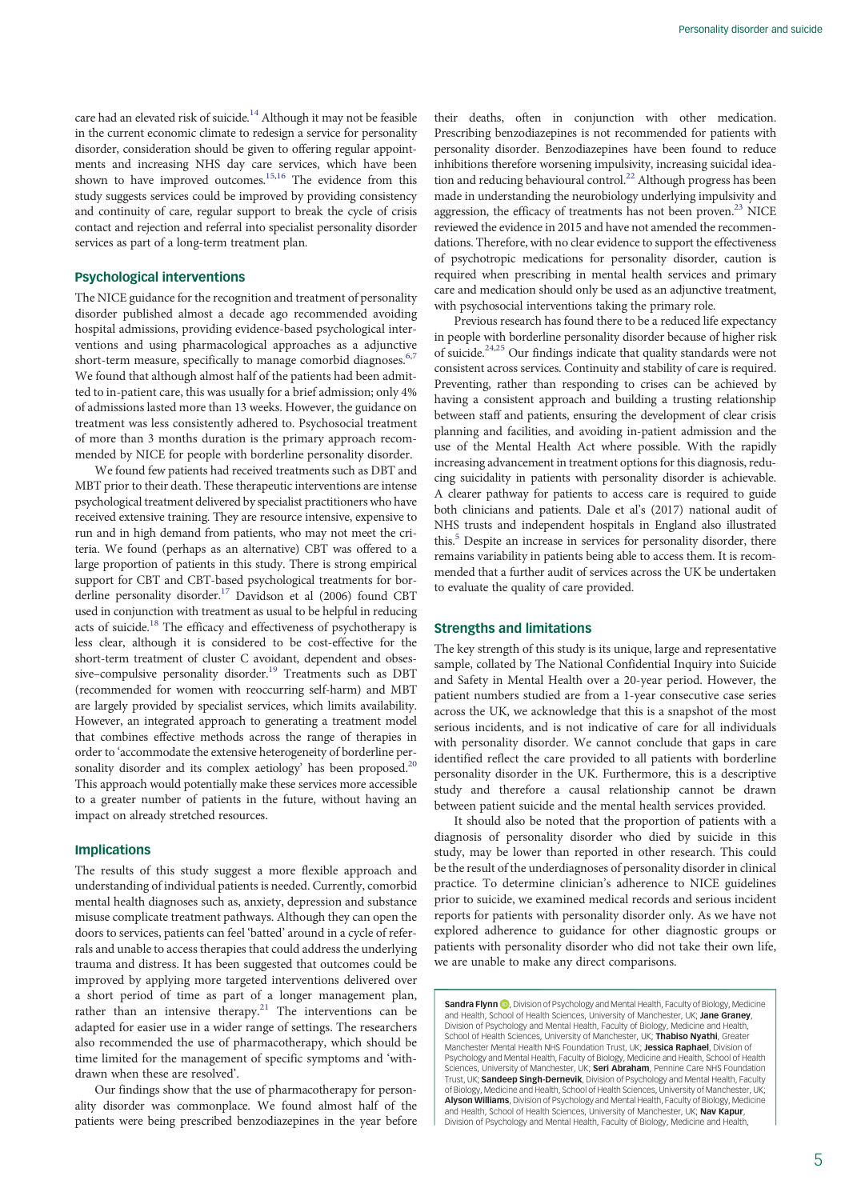care had an elevated risk of suicide.<sup>14</sup> Although it may not be feasible in the current economic climate to redesign a service for personality disorder, consideration should be given to offering regular appointments and increasing NHS day care services, which have been shown to have improved outcomes.<sup>15,16</sup> The evidence from this study suggests services could be improved by providing consistency and continuity of care, regular support to break the cycle of crisis contact and rejection and referral into specialist personality disorder services as part of a long-term treatment plan.

# Psychological interventions

The NICE guidance for the recognition and treatment of personality disorder published almost a decade ago recommended avoiding hospital admissions, providing evidence-based psychological interventions and using pharmacological approaches as a adjunctive short-term measure, specifically to manage comorbid diagnoses.<sup>[6,7](#page-5-0)</sup> We found that although almost half of the patients had been admitted to in-patient care, this was usually for a brief admission; only 4% of admissions lasted more than 13 weeks. However, the guidance on treatment was less consistently adhered to. Psychosocial treatment of more than 3 months duration is the primary approach recommended by NICE for people with borderline personality disorder.

We found few patients had received treatments such as DBT and MBT prior to their death. These therapeutic interventions are intense psychological treatment delivered by specialist practitioners who have received extensive training. They are resource intensive, expensive to run and in high demand from patients, who may not meet the criteria. We found (perhaps as an alternative) CBT was offered to a large proportion of patients in this study. There is strong empirical support for CBT and CBT-based psychological treatments for borderline personality disorder.<sup>17</sup> Davidson et al  $(2006)$  found CBT used in conjunction with treatment as usual to be helpful in reducing acts of suicide.<sup>[18](#page-5-0)</sup> The efficacy and effectiveness of psychotherapy is less clear, although it is considered to be cost-effective for the short-term treatment of cluster C avoidant, dependent and obsessive-compulsive personality disorder.<sup>19</sup> Treatments such as DBT (recommended for women with reoccurring self-harm) and MBT are largely provided by specialist services, which limits availability. However, an integrated approach to generating a treatment model that combines effective methods across the range of therapies in order to 'accommodate the extensive heterogeneity of borderline personality disorder and its complex aetiology' has been proposed.<sup>20</sup> This approach would potentially make these services more accessible to a greater number of patients in the future, without having an impact on already stretched resources.

## Implications

The results of this study suggest a more flexible approach and understanding of individual patients is needed. Currently, comorbid mental health diagnoses such as, anxiety, depression and substance misuse complicate treatment pathways. Although they can open the doors to services, patients can feel 'batted' around in a cycle of referrals and unable to access therapies that could address the underlying trauma and distress. It has been suggested that outcomes could be improved by applying more targeted interventions delivered over a short period of time as part of a longer management plan, rather than an intensive therapy.<sup>21</sup> The interventions can be adapted for easier use in a wider range of settings. The researchers also recommended the use of pharmacotherapy, which should be time limited for the management of specific symptoms and 'withdrawn when these are resolved'.

Our findings show that the use of pharmacotherapy for personality disorder was commonplace. We found almost half of the patients were being prescribed benzodiazepines in the year before their deaths, often in conjunction with other medication. Prescribing benzodiazepines is not recommended for patients with personality disorder. Benzodiazepines have been found to reduce inhibitions therefore worsening impulsivity, increasing suicidal ideation and reducing behavioural control.<sup>22</sup> Although progress has been made in understanding the neurobiology underlying impulsivity and aggression, the efficacy of treatments has not been proven.<sup>23</sup> NICE reviewed the evidence in 2015 and have not amended the recommendations. Therefore, with no clear evidence to support the effectiveness of psychotropic medications for personality disorder, caution is required when prescribing in mental health services and primary care and medication should only be used as an adjunctive treatment, with psychosocial interventions taking the primary role.

Previous research has found there to be a reduced life expectancy in people with borderline personality disorder because of higher risk of suicide[.24](#page-5-0),[25](#page-5-0) Our findings indicate that quality standards were not consistent across services. Continuity and stability of care is required. Preventing, rather than responding to crises can be achieved by having a consistent approach and building a trusting relationship between staff and patients, ensuring the development of clear crisis planning and facilities, and avoiding in-patient admission and the use of the Mental Health Act where possible. With the rapidly increasing advancement in treatment options for this diagnosis, reducing suicidality in patients with personality disorder is achievable. A clearer pathway for patients to access care is required to guide both clinicians and patients. Dale et al's (2017) national audit of NHS trusts and independent hospitals in England also illustrated this.<sup>5</sup> Despite an increase in services for personality disorder, there remains variability in patients being able to access them. It is recommended that a further audit of services across the UK be undertaken to evaluate the quality of care provided.

#### Strengths and limitations

The key strength of this study is its unique, large and representative sample, collated by The National Confidential Inquiry into Suicide and Safety in Mental Health over a 20-year period. However, the patient numbers studied are from a 1-year consecutive case series across the UK, we acknowledge that this is a snapshot of the most serious incidents, and is not indicative of care for all individuals with personality disorder. We cannot conclude that gaps in care identified reflect the care provided to all patients with borderline personality disorder in the UK. Furthermore, this is a descriptive study and therefore a causal relationship cannot be drawn between patient suicide and the mental health services provided.

It should also be noted that the proportion of patients with a diagnosis of personality disorder who died by suicide in this study, may be lower than reported in other research. This could be the result of the underdiagnoses of personality disorder in clinical practice. To determine clinician's adherence to NICE guidelines prior to suicide, we examined medical records and serious incident reports for patients with personality disorder only. As we have not explored adherence to guidance for other diagnostic groups or patients with personality disorder who did not take their own life, we are unable to make any direct comparisons.

Sandra Flynn **D**, Division of Psychology and Mental Health, Faculty of Biology, Medicine and Health, School of Health Sciences, University of Manchester, UK; Jane Graney, Division of Psychology and Mental Health, Faculty of Biology, Medicine and Health,<br>School of Health Sciences, University of Manchester, UK; **Thabiso Nyathi**, Greater Manchester Mental Health NHS Foundation Trust, UK; Jessica Raphael, Division of Psychology and Mental Health, Faculty of Biology, Medicine and Health, School of Health Sciences, University of Manchester, UK; Seri Abraham, Pennine Care NHS Foundation Trust, UK; Sandeep Singh-Dernevik, Division of Psychology and Mental Health, Faculty of Biology, Medicine and Health, School of Health Sciences, University of Manchester, UK<sub>i</sub><br>**Alyson Williams**, Division of Psychology and Mental Health, Faculty of Biology, Medicine and Health, School of Health Sciences, University of Manchester, UK; Nav Kapur Division of Psychology and Mental Health, Faculty of Biology, Medicine and Health,